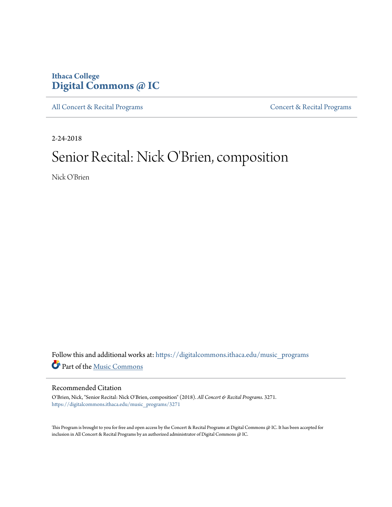### **Ithaca College [Digital Commons @ IC](https://digitalcommons.ithaca.edu?utm_source=digitalcommons.ithaca.edu%2Fmusic_programs%2F3271&utm_medium=PDF&utm_campaign=PDFCoverPages)**

[All Concert & Recital Programs](https://digitalcommons.ithaca.edu/music_programs?utm_source=digitalcommons.ithaca.edu%2Fmusic_programs%2F3271&utm_medium=PDF&utm_campaign=PDFCoverPages) **[Concert & Recital Programs](https://digitalcommons.ithaca.edu/som_programs?utm_source=digitalcommons.ithaca.edu%2Fmusic_programs%2F3271&utm_medium=PDF&utm_campaign=PDFCoverPages)** 

2-24-2018

## Senior Recital: Nick O'Brien, composition

Nick O'Brien

Follow this and additional works at: [https://digitalcommons.ithaca.edu/music\\_programs](https://digitalcommons.ithaca.edu/music_programs?utm_source=digitalcommons.ithaca.edu%2Fmusic_programs%2F3271&utm_medium=PDF&utm_campaign=PDFCoverPages) Part of the [Music Commons](http://network.bepress.com/hgg/discipline/518?utm_source=digitalcommons.ithaca.edu%2Fmusic_programs%2F3271&utm_medium=PDF&utm_campaign=PDFCoverPages)

### Recommended Citation

O'Brien, Nick, "Senior Recital: Nick O'Brien, composition" (2018). *All Concert & Recital Programs*. 3271. [https://digitalcommons.ithaca.edu/music\\_programs/3271](https://digitalcommons.ithaca.edu/music_programs/3271?utm_source=digitalcommons.ithaca.edu%2Fmusic_programs%2F3271&utm_medium=PDF&utm_campaign=PDFCoverPages)

This Program is brought to you for free and open access by the Concert & Recital Programs at Digital Commons @ IC. It has been accepted for inclusion in All Concert & Recital Programs by an authorized administrator of Digital Commons @ IC.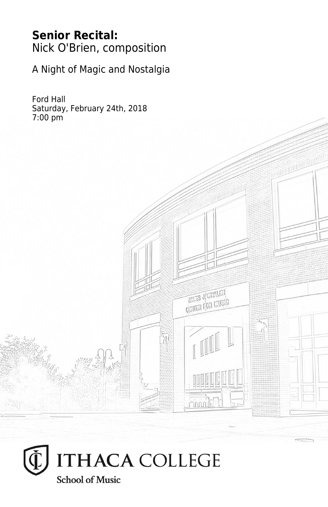### **Senior Recital:** Nick O'Brien, composition

A Night of Magic and Nostalgia

Ford Hall Saturday, February 24th, 2018 7:00 pm



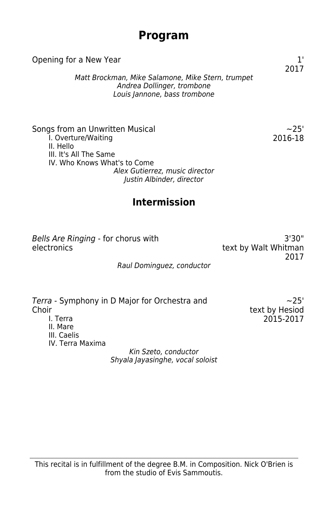### **Program**

| Opening for a New Year                                                                                                                                                                       |                   |
|----------------------------------------------------------------------------------------------------------------------------------------------------------------------------------------------|-------------------|
| Matt Brockman, Mike Salamone, Mike Stern, trumpet<br>Andrea Dollinger, trombone<br>Louis Jannone, bass trombone                                                                              | 2017              |
| Songs from an Unwritten Musical<br>I. Overture/Waiting<br>II. Hello<br>III. It's All The Same<br>IV. Who Knows What's to Come<br>Alex Gutierrez, music director<br>Justin Albinder, director | $-25'$<br>2016-18 |
| <b>Intermission</b>                                                                                                                                                                          |                   |
|                                                                                                                                                                                              |                   |

Bells Are Ringing - for chorus with electronics

3'30" text by Walt Whitman 2017

### Raul Dominguez, conductor

|                  | Terra - Symphony in D Major for Orchestra and | $-25'$         |
|------------------|-----------------------------------------------|----------------|
| Choir            |                                               | text by Hesiod |
| I. Terra         |                                               | 2015-2017      |
| II. Mare         |                                               |                |
| III. Caelis      |                                               |                |
| IV. Terra Maxima |                                               |                |
|                  | Kin Szeto, conductor                          |                |
|                  | Shyala Jayasinghe, vocal soloist              |                |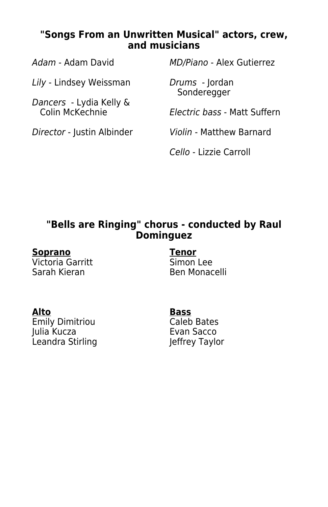### **"Songs From an Unwritten Musical" actors, crew, and musicians**

Adam - Adam David MD/Piano - Alex Gutierrez Lily - Lindsey Weissman Drums - Jordan Sonderegger Dancers - Lydia Kelly & Electric bass - Matt Suffern Director - Justin Albinder Violin - Matthew Barnard Cello - Lizzie Carroll

### **"Bells are Ringing" chorus - conducted by Raul Dominguez**

Victoria Garritt<br>Sarah Kieran

**Soprano Tenor** Ben Monacelli

**Alto Bass** Emily Dimitriou<br>Iulia Kucza Leandra Stirling

Evan Sacco<br>Jeffrey Taylor